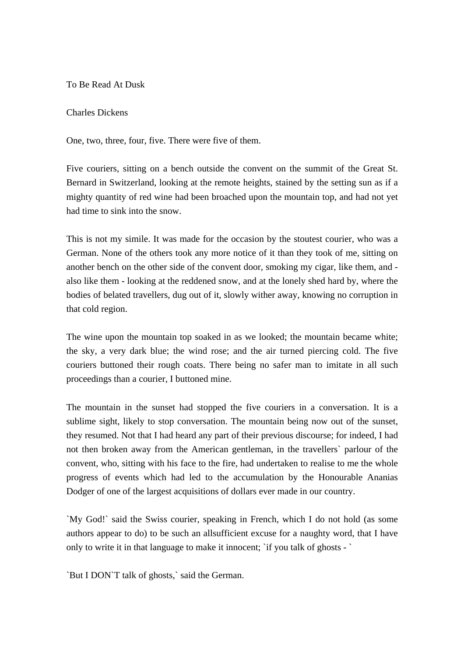To Be Read At Dusk

## Charles Dickens

One, two, three, four, five. There were five of them.

Five couriers, sitting on a bench outside the convent on the summit of the Great St. Bernard in Switzerland, looking at the remote heights, stained by the setting sun as if a mighty quantity of red wine had been broached upon the mountain top, and had not yet had time to sink into the snow.

This is not my simile. It was made for the occasion by the stoutest courier, who was a German. None of the others took any more notice of it than they took of me, sitting on another bench on the other side of the convent door, smoking my cigar, like them, and also like them - looking at the reddened snow, and at the lonely shed hard by, where the bodies of belated travellers, dug out of it, slowly wither away, knowing no corruption in that cold region.

The wine upon the mountain top soaked in as we looked; the mountain became white; the sky, a very dark blue; the wind rose; and the air turned piercing cold. The five couriers buttoned their rough coats. There being no safer man to imitate in all such proceedings than a courier, I buttoned mine.

The mountain in the sunset had stopped the five couriers in a conversation. It is a sublime sight, likely to stop conversation. The mountain being now out of the sunset, they resumed. Not that I had heard any part of their previous discourse; for indeed, I had not then broken away from the American gentleman, in the travellers` parlour of the convent, who, sitting with his face to the fire, had undertaken to realise to me the whole progress of events which had led to the accumulation by the Honourable Ananias Dodger of one of the largest acquisitions of dollars ever made in our country.

`My God!` said the Swiss courier, speaking in French, which I do not hold (as some authors appear to do) to be such an allsufficient excuse for a naughty word, that I have only to write it in that language to make it innocent; `if you talk of ghosts - `

`But I DON`T talk of ghosts,` said the German.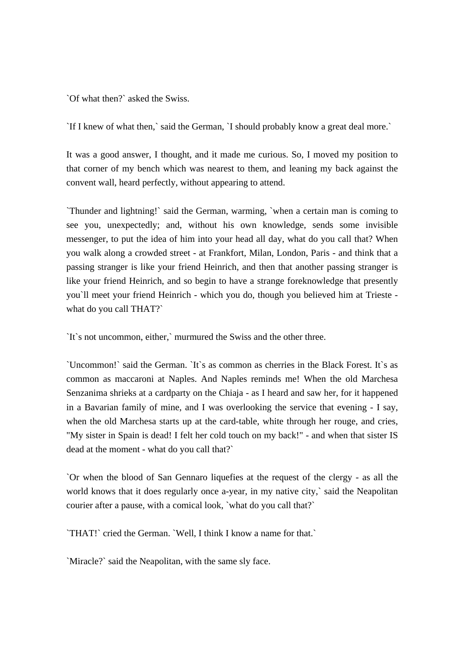`Of what then?` asked the Swiss.

`If I knew of what then,` said the German, `I should probably know a great deal more.`

It was a good answer, I thought, and it made me curious. So, I moved my position to that corner of my bench which was nearest to them, and leaning my back against the convent wall, heard perfectly, without appearing to attend.

`Thunder and lightning!` said the German, warming, `when a certain man is coming to see you, unexpectedly; and, without his own knowledge, sends some invisible messenger, to put the idea of him into your head all day, what do you call that? When you walk along a crowded street - at Frankfort, Milan, London, Paris - and think that a passing stranger is like your friend Heinrich, and then that another passing stranger is like your friend Heinrich, and so begin to have a strange foreknowledge that presently you`ll meet your friend Heinrich - which you do, though you believed him at Trieste what do you call THAT?`

`It`s not uncommon, either,` murmured the Swiss and the other three.

`Uncommon!` said the German. `It`s as common as cherries in the Black Forest. It`s as common as maccaroni at Naples. And Naples reminds me! When the old Marchesa Senzanima shrieks at a cardparty on the Chiaja - as I heard and saw her, for it happened in a Bavarian family of mine, and I was overlooking the service that evening - I say, when the old Marchesa starts up at the card-table, white through her rouge, and cries, "My sister in Spain is dead! I felt her cold touch on my back!" - and when that sister IS dead at the moment - what do you call that?`

`Or when the blood of San Gennaro liquefies at the request of the clergy - as all the world knows that it does regularly once a-year, in my native city,` said the Neapolitan courier after a pause, with a comical look, `what do you call that?`

`THAT!` cried the German. `Well, I think I know a name for that.`

`Miracle?` said the Neapolitan, with the same sly face.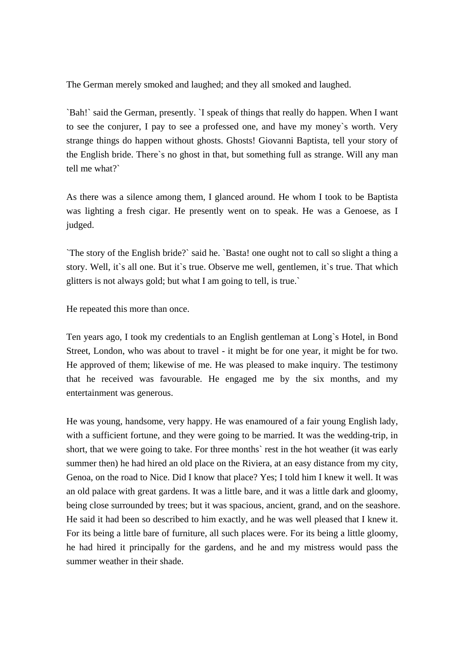The German merely smoked and laughed; and they all smoked and laughed.

`Bah!` said the German, presently. `I speak of things that really do happen. When I want to see the conjurer, I pay to see a professed one, and have my money`s worth. Very strange things do happen without ghosts. Ghosts! Giovanni Baptista, tell your story of the English bride. There`s no ghost in that, but something full as strange. Will any man tell me what?`

As there was a silence among them, I glanced around. He whom I took to be Baptista was lighting a fresh cigar. He presently went on to speak. He was a Genoese, as I judged.

`The story of the English bride?` said he. `Basta! one ought not to call so slight a thing a story. Well, it`s all one. But it`s true. Observe me well, gentlemen, it`s true. That which glitters is not always gold; but what I am going to tell, is true.`

He repeated this more than once.

Ten years ago, I took my credentials to an English gentleman at Long`s Hotel, in Bond Street, London, who was about to travel - it might be for one year, it might be for two. He approved of them; likewise of me. He was pleased to make inquiry. The testimony that he received was favourable. He engaged me by the six months, and my entertainment was generous.

He was young, handsome, very happy. He was enamoured of a fair young English lady, with a sufficient fortune, and they were going to be married. It was the wedding-trip, in short, that we were going to take. For three months` rest in the hot weather (it was early summer then) he had hired an old place on the Riviera, at an easy distance from my city, Genoa, on the road to Nice. Did I know that place? Yes; I told him I knew it well. It was an old palace with great gardens. It was a little bare, and it was a little dark and gloomy, being close surrounded by trees; but it was spacious, ancient, grand, and on the seashore. He said it had been so described to him exactly, and he was well pleased that I knew it. For its being a little bare of furniture, all such places were. For its being a little gloomy, he had hired it principally for the gardens, and he and my mistress would pass the summer weather in their shade.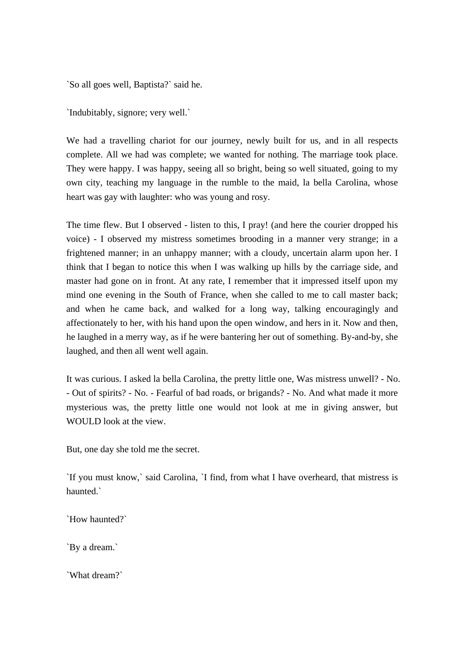`So all goes well, Baptista?` said he.

`Indubitably, signore; very well.`

We had a travelling chariot for our journey, newly built for us, and in all respects complete. All we had was complete; we wanted for nothing. The marriage took place. They were happy. I was happy, seeing all so bright, being so well situated, going to my own city, teaching my language in the rumble to the maid, la bella Carolina, whose heart was gay with laughter: who was young and rosy.

The time flew. But I observed - listen to this, I pray! (and here the courier dropped his voice) - I observed my mistress sometimes brooding in a manner very strange; in a frightened manner; in an unhappy manner; with a cloudy, uncertain alarm upon her. I think that I began to notice this when I was walking up hills by the carriage side, and master had gone on in front. At any rate, I remember that it impressed itself upon my mind one evening in the South of France, when she called to me to call master back; and when he came back, and walked for a long way, talking encouragingly and affectionately to her, with his hand upon the open window, and hers in it. Now and then, he laughed in a merry way, as if he were bantering her out of something. By-and-by, she laughed, and then all went well again.

It was curious. I asked la bella Carolina, the pretty little one, Was mistress unwell? - No. - Out of spirits? - No. - Fearful of bad roads, or brigands? - No. And what made it more mysterious was, the pretty little one would not look at me in giving answer, but WOULD look at the view.

But, one day she told me the secret.

`If you must know,` said Carolina, `I find, from what I have overheard, that mistress is haunted.<sup>\*</sup>

`How haunted?`

`By a dream.`

`What dream?`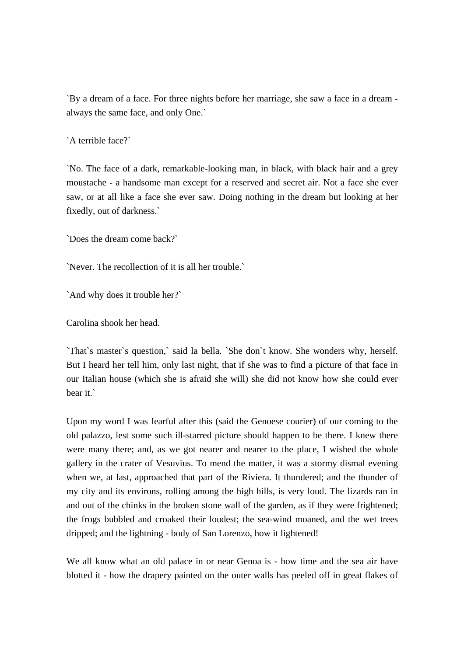`By a dream of a face. For three nights before her marriage, she saw a face in a dream always the same face, and only One.`

`A terrible face?`

`No. The face of a dark, remarkable-looking man, in black, with black hair and a grey moustache - a handsome man except for a reserved and secret air. Not a face she ever saw, or at all like a face she ever saw. Doing nothing in the dream but looking at her fixedly, out of darkness.`

`Does the dream come back?`

`Never. The recollection of it is all her trouble.`

`And why does it trouble her?`

Carolina shook her head.

`That`s master`s question,` said la bella. `She don`t know. She wonders why, herself. But I heard her tell him, only last night, that if she was to find a picture of that face in our Italian house (which she is afraid she will) she did not know how she could ever bear it.`

Upon my word I was fearful after this (said the Genoese courier) of our coming to the old palazzo, lest some such ill-starred picture should happen to be there. I knew there were many there; and, as we got nearer and nearer to the place, I wished the whole gallery in the crater of Vesuvius. To mend the matter, it was a stormy dismal evening when we, at last, approached that part of the Riviera. It thundered; and the thunder of my city and its environs, rolling among the high hills, is very loud. The lizards ran in and out of the chinks in the broken stone wall of the garden, as if they were frightened; the frogs bubbled and croaked their loudest; the sea-wind moaned, and the wet trees dripped; and the lightning - body of San Lorenzo, how it lightened!

We all know what an old palace in or near Genoa is - how time and the sea air have blotted it - how the drapery painted on the outer walls has peeled off in great flakes of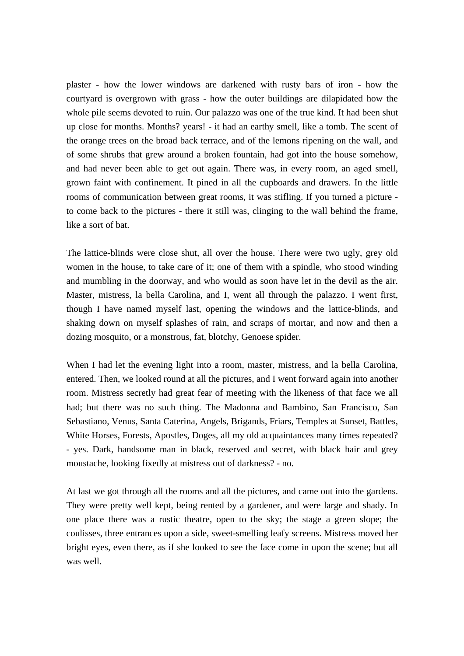plaster - how the lower windows are darkened with rusty bars of iron - how the courtyard is overgrown with grass - how the outer buildings are dilapidated how the whole pile seems devoted to ruin. Our palazzo was one of the true kind. It had been shut up close for months. Months? years! - it had an earthy smell, like a tomb. The scent of the orange trees on the broad back terrace, and of the lemons ripening on the wall, and of some shrubs that grew around a broken fountain, had got into the house somehow, and had never been able to get out again. There was, in every room, an aged smell, grown faint with confinement. It pined in all the cupboards and drawers. In the little rooms of communication between great rooms, it was stifling. If you turned a picture to come back to the pictures - there it still was, clinging to the wall behind the frame, like a sort of bat.

The lattice-blinds were close shut, all over the house. There were two ugly, grey old women in the house, to take care of it; one of them with a spindle, who stood winding and mumbling in the doorway, and who would as soon have let in the devil as the air. Master, mistress, la bella Carolina, and I, went all through the palazzo. I went first, though I have named myself last, opening the windows and the lattice-blinds, and shaking down on myself splashes of rain, and scraps of mortar, and now and then a dozing mosquito, or a monstrous, fat, blotchy, Genoese spider.

When I had let the evening light into a room, master, mistress, and la bella Carolina, entered. Then, we looked round at all the pictures, and I went forward again into another room. Mistress secretly had great fear of meeting with the likeness of that face we all had; but there was no such thing. The Madonna and Bambino, San Francisco, San Sebastiano, Venus, Santa Caterina, Angels, Brigands, Friars, Temples at Sunset, Battles, White Horses, Forests, Apostles, Doges, all my old acquaintances many times repeated? - yes. Dark, handsome man in black, reserved and secret, with black hair and grey moustache, looking fixedly at mistress out of darkness? - no.

At last we got through all the rooms and all the pictures, and came out into the gardens. They were pretty well kept, being rented by a gardener, and were large and shady. In one place there was a rustic theatre, open to the sky; the stage a green slope; the coulisses, three entrances upon a side, sweet-smelling leafy screens. Mistress moved her bright eyes, even there, as if she looked to see the face come in upon the scene; but all was well.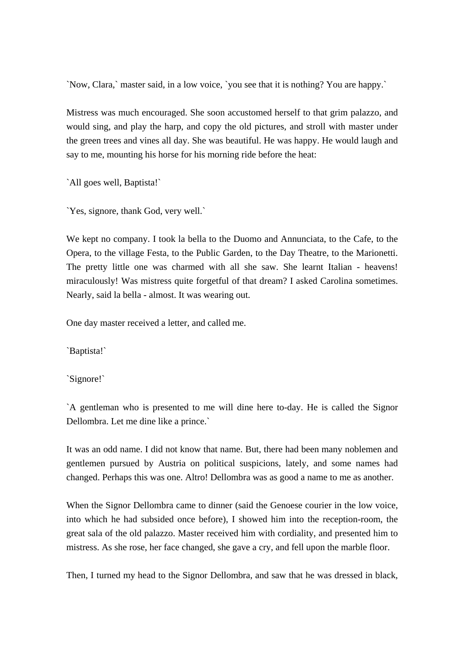`Now, Clara,` master said, in a low voice, `you see that it is nothing? You are happy.`

Mistress was much encouraged. She soon accustomed herself to that grim palazzo, and would sing, and play the harp, and copy the old pictures, and stroll with master under the green trees and vines all day. She was beautiful. He was happy. He would laugh and say to me, mounting his horse for his morning ride before the heat:

`All goes well, Baptista!`

`Yes, signore, thank God, very well.`

We kept no company. I took la bella to the Duomo and Annunciata, to the Cafe, to the Opera, to the village Festa, to the Public Garden, to the Day Theatre, to the Marionetti. The pretty little one was charmed with all she saw. She learnt Italian - heavens! miraculously! Was mistress quite forgetful of that dream? I asked Carolina sometimes. Nearly, said la bella - almost. It was wearing out.

One day master received a letter, and called me.

`Baptista!`

`Signore!`

`A gentleman who is presented to me will dine here to-day. He is called the Signor Dellombra. Let me dine like a prince.`

It was an odd name. I did not know that name. But, there had been many noblemen and gentlemen pursued by Austria on political suspicions, lately, and some names had changed. Perhaps this was one. Altro! Dellombra was as good a name to me as another.

When the Signor Dellombra came to dinner (said the Genoese courier in the low voice, into which he had subsided once before), I showed him into the reception-room, the great sala of the old palazzo. Master received him with cordiality, and presented him to mistress. As she rose, her face changed, she gave a cry, and fell upon the marble floor.

Then, I turned my head to the Signor Dellombra, and saw that he was dressed in black,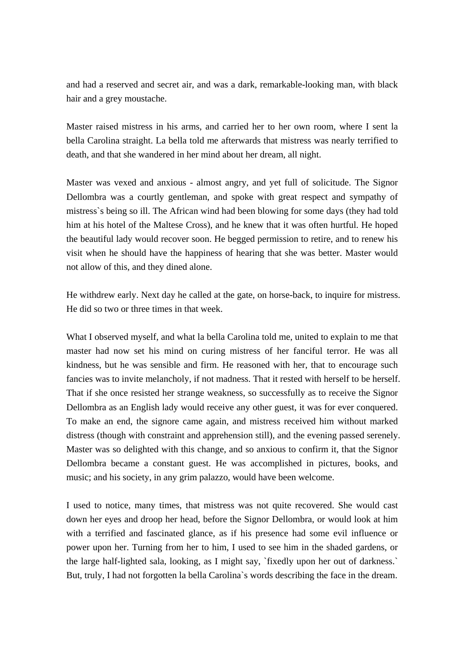and had a reserved and secret air, and was a dark, remarkable-looking man, with black hair and a grey moustache.

Master raised mistress in his arms, and carried her to her own room, where I sent la bella Carolina straight. La bella told me afterwards that mistress was nearly terrified to death, and that she wandered in her mind about her dream, all night.

Master was vexed and anxious - almost angry, and yet full of solicitude. The Signor Dellombra was a courtly gentleman, and spoke with great respect and sympathy of mistress`s being so ill. The African wind had been blowing for some days (they had told him at his hotel of the Maltese Cross), and he knew that it was often hurtful. He hoped the beautiful lady would recover soon. He begged permission to retire, and to renew his visit when he should have the happiness of hearing that she was better. Master would not allow of this, and they dined alone.

He withdrew early. Next day he called at the gate, on horse-back, to inquire for mistress. He did so two or three times in that week.

What I observed myself, and what la bella Carolina told me, united to explain to me that master had now set his mind on curing mistress of her fanciful terror. He was all kindness, but he was sensible and firm. He reasoned with her, that to encourage such fancies was to invite melancholy, if not madness. That it rested with herself to be herself. That if she once resisted her strange weakness, so successfully as to receive the Signor Dellombra as an English lady would receive any other guest, it was for ever conquered. To make an end, the signore came again, and mistress received him without marked distress (though with constraint and apprehension still), and the evening passed serenely. Master was so delighted with this change, and so anxious to confirm it, that the Signor Dellombra became a constant guest. He was accomplished in pictures, books, and music; and his society, in any grim palazzo, would have been welcome.

I used to notice, many times, that mistress was not quite recovered. She would cast down her eyes and droop her head, before the Signor Dellombra, or would look at him with a terrified and fascinated glance, as if his presence had some evil influence or power upon her. Turning from her to him, I used to see him in the shaded gardens, or the large half-lighted sala, looking, as I might say, `fixedly upon her out of darkness.` But, truly, I had not forgotten la bella Carolina`s words describing the face in the dream.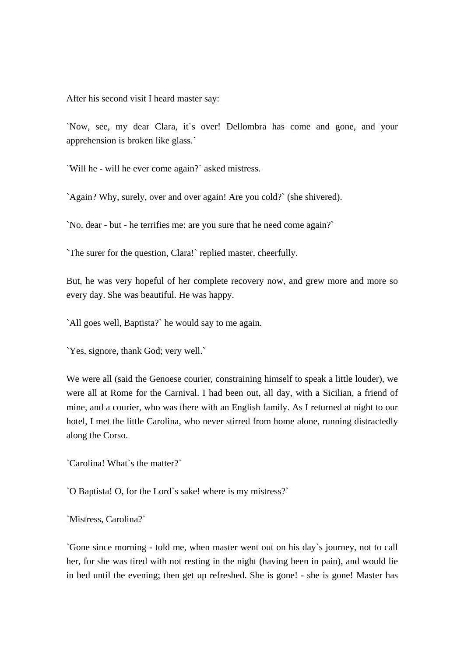After his second visit I heard master say:

`Now, see, my dear Clara, it`s over! Dellombra has come and gone, and your apprehension is broken like glass.`

`Will he - will he ever come again?` asked mistress.

`Again? Why, surely, over and over again! Are you cold?` (she shivered).

`No, dear - but - he terrifies me: are you sure that he need come again?`

`The surer for the question, Clara!` replied master, cheerfully.

But, he was very hopeful of her complete recovery now, and grew more and more so every day. She was beautiful. He was happy.

`All goes well, Baptista?` he would say to me again.

`Yes, signore, thank God; very well.`

We were all (said the Genoese courier, constraining himself to speak a little louder), we were all at Rome for the Carnival. I had been out, all day, with a Sicilian, a friend of mine, and a courier, who was there with an English family. As I returned at night to our hotel, I met the little Carolina, who never stirred from home alone, running distractedly along the Corso.

`Carolina! What`s the matter?`

`O Baptista! O, for the Lord`s sake! where is my mistress?`

`Mistress, Carolina?`

`Gone since morning - told me, when master went out on his day`s journey, not to call her, for she was tired with not resting in the night (having been in pain), and would lie in bed until the evening; then get up refreshed. She is gone! - she is gone! Master has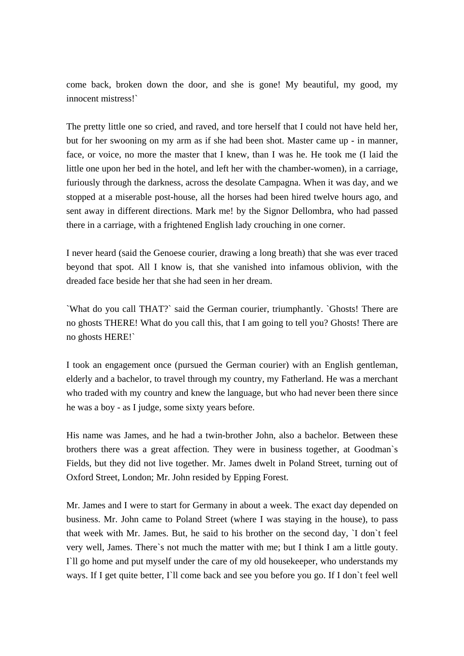come back, broken down the door, and she is gone! My beautiful, my good, my innocent mistress!`

The pretty little one so cried, and raved, and tore herself that I could not have held her, but for her swooning on my arm as if she had been shot. Master came up - in manner, face, or voice, no more the master that I knew, than I was he. He took me (I laid the little one upon her bed in the hotel, and left her with the chamber-women), in a carriage, furiously through the darkness, across the desolate Campagna. When it was day, and we stopped at a miserable post-house, all the horses had been hired twelve hours ago, and sent away in different directions. Mark me! by the Signor Dellombra, who had passed there in a carriage, with a frightened English lady crouching in one corner.

I never heard (said the Genoese courier, drawing a long breath) that she was ever traced beyond that spot. All I know is, that she vanished into infamous oblivion, with the dreaded face beside her that she had seen in her dream.

`What do you call THAT?` said the German courier, triumphantly. `Ghosts! There are no ghosts THERE! What do you call this, that I am going to tell you? Ghosts! There are no ghosts HERE!`

I took an engagement once (pursued the German courier) with an English gentleman, elderly and a bachelor, to travel through my country, my Fatherland. He was a merchant who traded with my country and knew the language, but who had never been there since he was a boy - as I judge, some sixty years before.

His name was James, and he had a twin-brother John, also a bachelor. Between these brothers there was a great affection. They were in business together, at Goodman`s Fields, but they did not live together. Mr. James dwelt in Poland Street, turning out of Oxford Street, London; Mr. John resided by Epping Forest.

Mr. James and I were to start for Germany in about a week. The exact day depended on business. Mr. John came to Poland Street (where I was staying in the house), to pass that week with Mr. James. But, he said to his brother on the second day, `I don`t feel very well, James. There`s not much the matter with me; but I think I am a little gouty. I'll go home and put myself under the care of my old housekeeper, who understands my ways. If I get quite better, I'll come back and see you before you go. If I don't feel well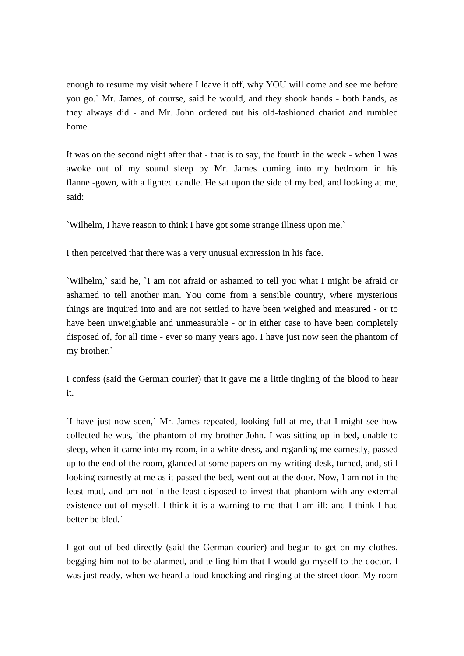enough to resume my visit where I leave it off, why YOU will come and see me before you go.` Mr. James, of course, said he would, and they shook hands - both hands, as they always did - and Mr. John ordered out his old-fashioned chariot and rumbled home.

It was on the second night after that - that is to say, the fourth in the week - when I was awoke out of my sound sleep by Mr. James coming into my bedroom in his flannel-gown, with a lighted candle. He sat upon the side of my bed, and looking at me, said:

`Wilhelm, I have reason to think I have got some strange illness upon me.`

I then perceived that there was a very unusual expression in his face.

`Wilhelm,` said he, `I am not afraid or ashamed to tell you what I might be afraid or ashamed to tell another man. You come from a sensible country, where mysterious things are inquired into and are not settled to have been weighed and measured - or to have been unweighable and unmeasurable - or in either case to have been completely disposed of, for all time - ever so many years ago. I have just now seen the phantom of my brother.`

I confess (said the German courier) that it gave me a little tingling of the blood to hear it.

`I have just now seen,` Mr. James repeated, looking full at me, that I might see how collected he was, `the phantom of my brother John. I was sitting up in bed, unable to sleep, when it came into my room, in a white dress, and regarding me earnestly, passed up to the end of the room, glanced at some papers on my writing-desk, turned, and, still looking earnestly at me as it passed the bed, went out at the door. Now, I am not in the least mad, and am not in the least disposed to invest that phantom with any external existence out of myself. I think it is a warning to me that I am ill; and I think I had better be bled.`

I got out of bed directly (said the German courier) and began to get on my clothes, begging him not to be alarmed, and telling him that I would go myself to the doctor. I was just ready, when we heard a loud knocking and ringing at the street door. My room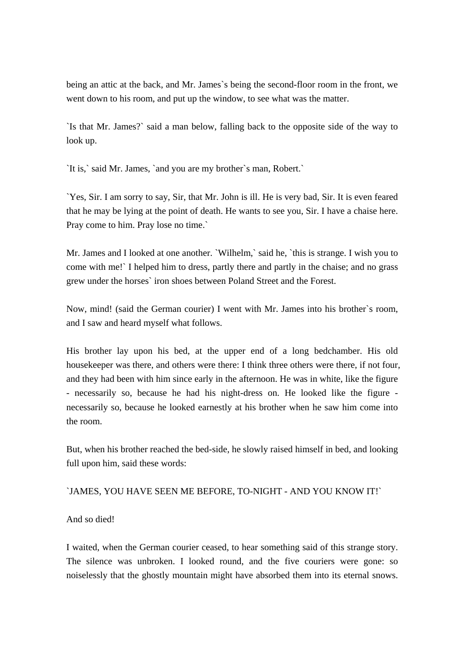being an attic at the back, and Mr. James`s being the second-floor room in the front, we went down to his room, and put up the window, to see what was the matter.

`Is that Mr. James?` said a man below, falling back to the opposite side of the way to look up.

`It is,` said Mr. James, `and you are my brother`s man, Robert.`

`Yes, Sir. I am sorry to say, Sir, that Mr. John is ill. He is very bad, Sir. It is even feared that he may be lying at the point of death. He wants to see you, Sir. I have a chaise here. Pray come to him. Pray lose no time.`

Mr. James and I looked at one another. `Wilhelm,` said he, `this is strange. I wish you to come with me!` I helped him to dress, partly there and partly in the chaise; and no grass grew under the horses` iron shoes between Poland Street and the Forest.

Now, mind! (said the German courier) I went with Mr. James into his brother`s room, and I saw and heard myself what follows.

His brother lay upon his bed, at the upper end of a long bedchamber. His old housekeeper was there, and others were there: I think three others were there, if not four, and they had been with him since early in the afternoon. He was in white, like the figure - necessarily so, because he had his night-dress on. He looked like the figure necessarily so, because he looked earnestly at his brother when he saw him come into the room.

But, when his brother reached the bed-side, he slowly raised himself in bed, and looking full upon him, said these words:

## `JAMES, YOU HAVE SEEN ME BEFORE, TO-NIGHT - AND YOU KNOW IT!`

And so died!

I waited, when the German courier ceased, to hear something said of this strange story. The silence was unbroken. I looked round, and the five couriers were gone: so noiselessly that the ghostly mountain might have absorbed them into its eternal snows.